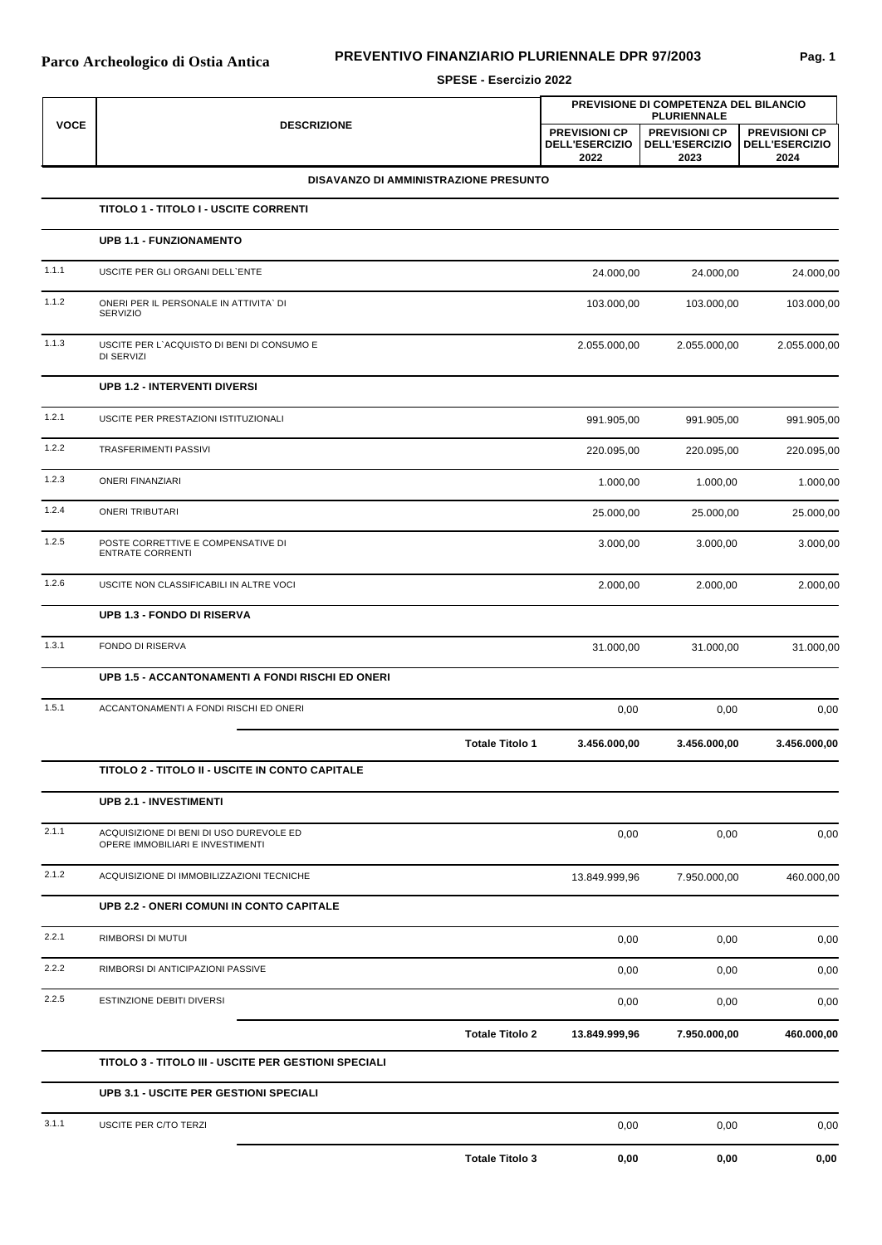## **PREVENTIVO FINANZIARIO PLURIENNALE DPR 97/2003**

**SPESE - Esercizio 2022**

| <b>VOCE</b> |                                                                             | PREVISIONE DI COMPETENZA DEL BILANCIO<br><b>PLURIENNALE</b> |                                                       |                                                       |                                                       |
|-------------|-----------------------------------------------------------------------------|-------------------------------------------------------------|-------------------------------------------------------|-------------------------------------------------------|-------------------------------------------------------|
|             | <b>DESCRIZIONE</b>                                                          |                                                             | <b>PREVISIONI CP</b><br><b>DELL'ESERCIZIO</b><br>2022 | <b>PREVISIONI CP</b><br><b>DELL'ESERCIZIO</b><br>2023 | <b>PREVISIONI CP</b><br><b>DELL'ESERCIZIO</b><br>2024 |
|             | DISAVANZO DI AMMINISTRAZIONE PRESUNTO                                       |                                                             |                                                       |                                                       |                                                       |
|             | TITOLO 1 - TITOLO I - USCITE CORRENTI                                       |                                                             |                                                       |                                                       |                                                       |
|             | <b>UPB 1.1 - FUNZIONAMENTO</b>                                              |                                                             |                                                       |                                                       |                                                       |
| 1.1.1       | USCITE PER GLI ORGANI DELL'ENTE                                             |                                                             | 24.000,00                                             | 24.000,00                                             | 24.000,00                                             |
| 1.1.2       | ONERI PER IL PERSONALE IN ATTIVITA' DI<br>SERVIZIO                          |                                                             | 103.000,00                                            | 103.000,00                                            | 103.000,00                                            |
| 1.1.3       | USCITE PER L'ACQUISTO DI BENI DI CONSUMO E<br>DI SERVIZI                    |                                                             | 2.055.000,00                                          | 2.055.000,00                                          | 2.055.000,00                                          |
|             | <b>UPB 1.2 - INTERVENTI DIVERSI</b>                                         |                                                             |                                                       |                                                       |                                                       |
| 1.2.1       | USCITE PER PRESTAZIONI ISTITUZIONALI                                        |                                                             | 991.905,00                                            | 991.905,00                                            | 991.905,00                                            |
| 1.2.2       | TRASFERIMENTI PASSIVI                                                       |                                                             | 220.095,00                                            | 220.095,00                                            | 220.095,00                                            |
| 1.2.3       | <b>ONERI FINANZIARI</b>                                                     |                                                             | 1.000,00                                              | 1.000,00                                              | 1.000,00                                              |
| 1.2.4       | <b>ONERI TRIBUTARI</b>                                                      |                                                             | 25.000,00                                             | 25.000,00                                             | 25.000,00                                             |
| 1.2.5       | POSTE CORRETTIVE E COMPENSATIVE DI<br><b>ENTRATE CORRENTI</b>               |                                                             | 3.000,00                                              | 3.000,00                                              | 3.000,00                                              |
| 1.2.6       | USCITE NON CLASSIFICABILI IN ALTRE VOCI                                     |                                                             | 2.000,00                                              | 2.000,00                                              | 2.000,00                                              |
|             | <b>UPB 1.3 - FONDO DI RISERVA</b>                                           |                                                             |                                                       |                                                       |                                                       |
| 1.3.1       | FONDO DI RISERVA                                                            |                                                             | 31.000,00                                             | 31.000,00                                             | 31.000,00                                             |
|             | UPB 1.5 - ACCANTONAMENTI A FONDI RISCHI ED ONERI                            |                                                             |                                                       |                                                       |                                                       |
| 1.5.1       | ACCANTONAMENTI A FONDI RISCHI ED ONERI                                      |                                                             | 0,00                                                  | 0,00                                                  | 0,00                                                  |
|             |                                                                             | <b>Totale Titolo 1</b>                                      | 3.456.000,00                                          | 3.456.000,00                                          | 3.456.000,00                                          |
|             | TITOLO 2 - TITOLO II - USCITE IN CONTO CAPITALE                             |                                                             |                                                       |                                                       |                                                       |
|             | <b>UPB 2.1 - INVESTIMENTI</b>                                               |                                                             |                                                       |                                                       |                                                       |
| 2.1.1       | ACQUISIZIONE DI BENI DI USO DUREVOLE ED<br>OPERE IMMOBILIARI E INVESTIMENTI |                                                             | 0,00                                                  | 0,00                                                  | 0,00                                                  |
| 2.1.2       | ACQUISIZIONE DI IMMOBILIZZAZIONI TECNICHE                                   |                                                             | 13.849.999,96                                         | 7.950.000,00                                          | 460.000,00                                            |
|             | UPB 2.2 - ONERI COMUNI IN CONTO CAPITALE                                    |                                                             |                                                       |                                                       |                                                       |
| 2.2.1       | RIMBORSI DI MUTUI                                                           |                                                             | 0,00                                                  | 0,00                                                  | 0,00                                                  |
| 2.2.2       | RIMBORSI DI ANTICIPAZIONI PASSIVE                                           |                                                             | 0,00                                                  | 0,00                                                  | 0,00                                                  |
| 2.2.5       | ESTINZIONE DEBITI DIVERSI                                                   |                                                             | 0,00                                                  | 0,00                                                  | 0,00                                                  |
|             |                                                                             | <b>Totale Titolo 2</b>                                      | 13.849.999,96                                         | 7.950.000,00                                          | 460.000,00                                            |
|             | TITOLO 3 - TITOLO III - USCITE PER GESTIONI SPECIALI                        |                                                             |                                                       |                                                       |                                                       |
|             | <b>UPB 3.1 - USCITE PER GESTIONI SPECIALI</b>                               |                                                             |                                                       |                                                       |                                                       |
| 3.1.1       | USCITE PER C/TO TERZI                                                       |                                                             | 0,00                                                  | 0,00                                                  | 0,00                                                  |
|             |                                                                             | <b>Totale Titolo 3</b>                                      | 0,00                                                  | 0,00                                                  | 0,00                                                  |